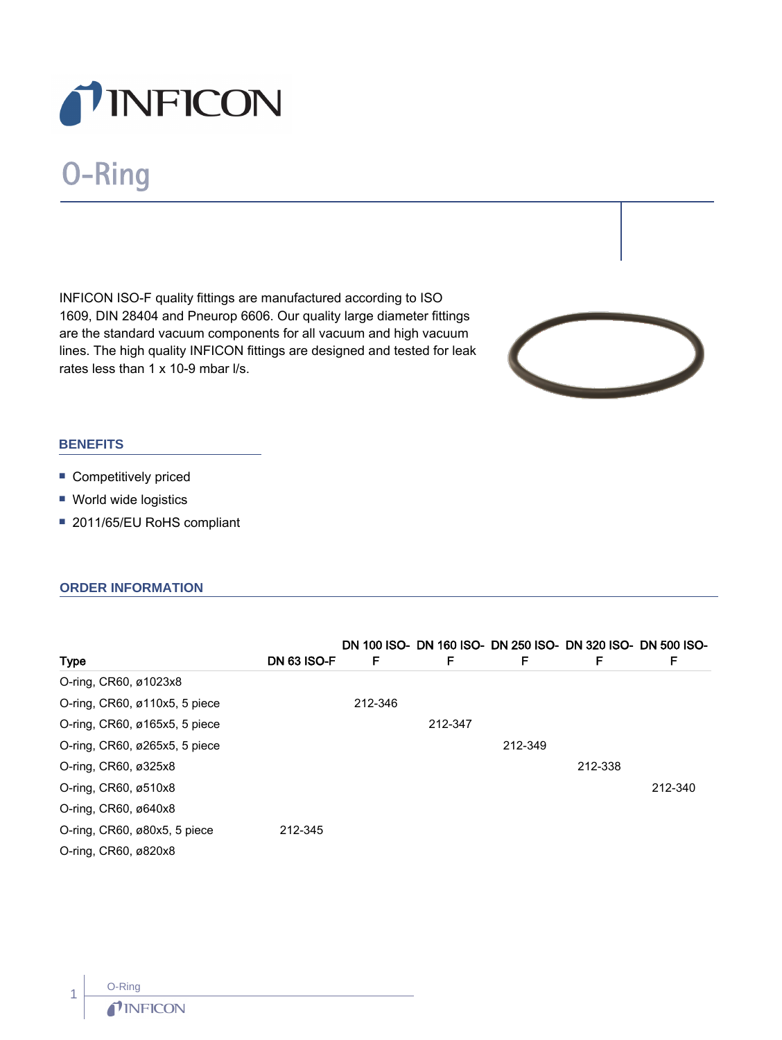

# O-Ring

INFICON ISO-F quality fittings are manufactured according to ISO 1609, DIN 28404 and Pneurop 6606. Our quality large diameter fittings are the standard vacuum components for all vacuum and high vacuum lines. The high quality INFICON fittings are designed and tested for leak rates less than 1 x 10-9 mbar l/s.



### **BENEFITS**

- **Competitively priced**
- World wide logistics
- 2011/65/EU RoHS compliant

#### **ORDER INFORMATION**

|                                              |                    |         |         |         |         | DN 100 ISO- DN 160 ISO- DN 250 ISO- DN 320 ISO- DN 500 ISO- |
|----------------------------------------------|--------------------|---------|---------|---------|---------|-------------------------------------------------------------|
| Type                                         | <b>DN 63 ISO-F</b> | F       | F       | F       | F       | F                                                           |
| O-ring, CR60, ø1023x8                        |                    |         |         |         |         |                                                             |
| O-ring, CR60, ø110x5, 5 piece                |                    | 212-346 |         |         |         |                                                             |
| O-ring, CR60, ø165x5, 5 piece                |                    |         | 212-347 |         |         |                                                             |
| O-ring, CR60, ø265x5, 5 piece                |                    |         |         | 212-349 |         |                                                             |
| O-ring, CR60, ø325x8                         |                    |         |         |         | 212-338 |                                                             |
| O-ring, CR60, ø510x8                         |                    |         |         |         |         | 212-340                                                     |
| O-ring, CR60, ø640x8                         |                    |         |         |         |         |                                                             |
| O-ring, $CR60$ , $\varnothing$ 80x5, 5 piece | 212-345            |         |         |         |         |                                                             |
| O-ring, CR60, ø820x8                         |                    |         |         |         |         |                                                             |

1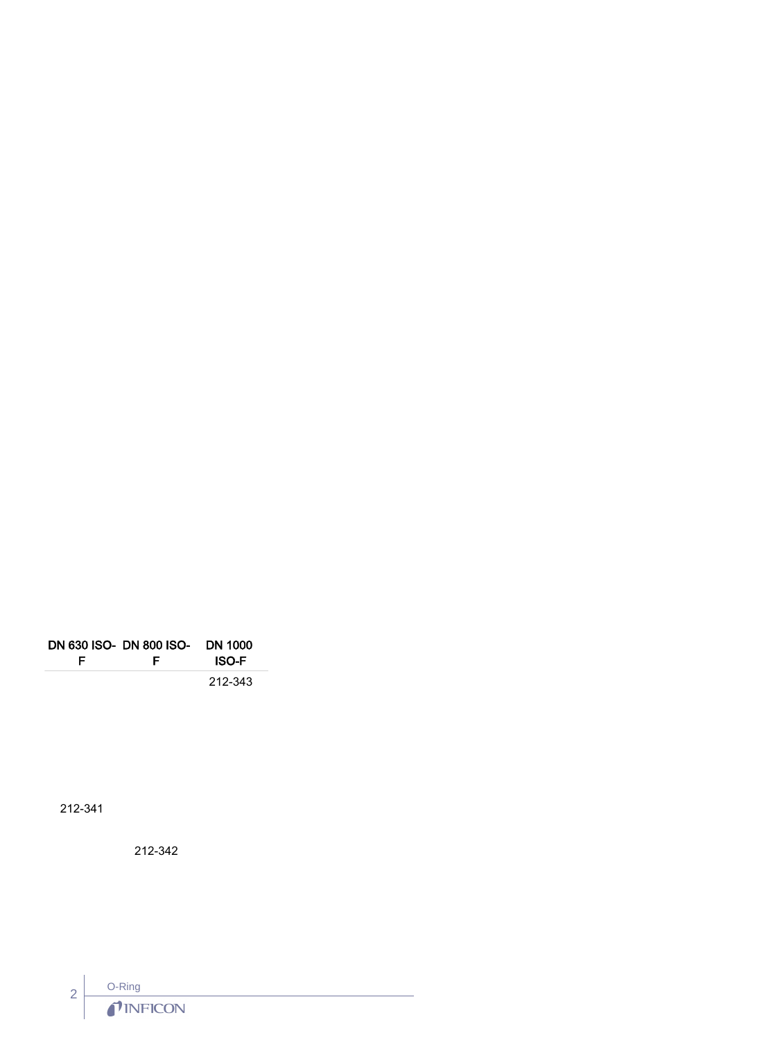|   | DN 630 ISO- DN 800 ISO- DN 1000 |              |  |
|---|---------------------------------|--------------|--|
| E | E                               | <b>ISO-F</b> |  |
|   |                                 | 212-343      |  |

212-341

212-342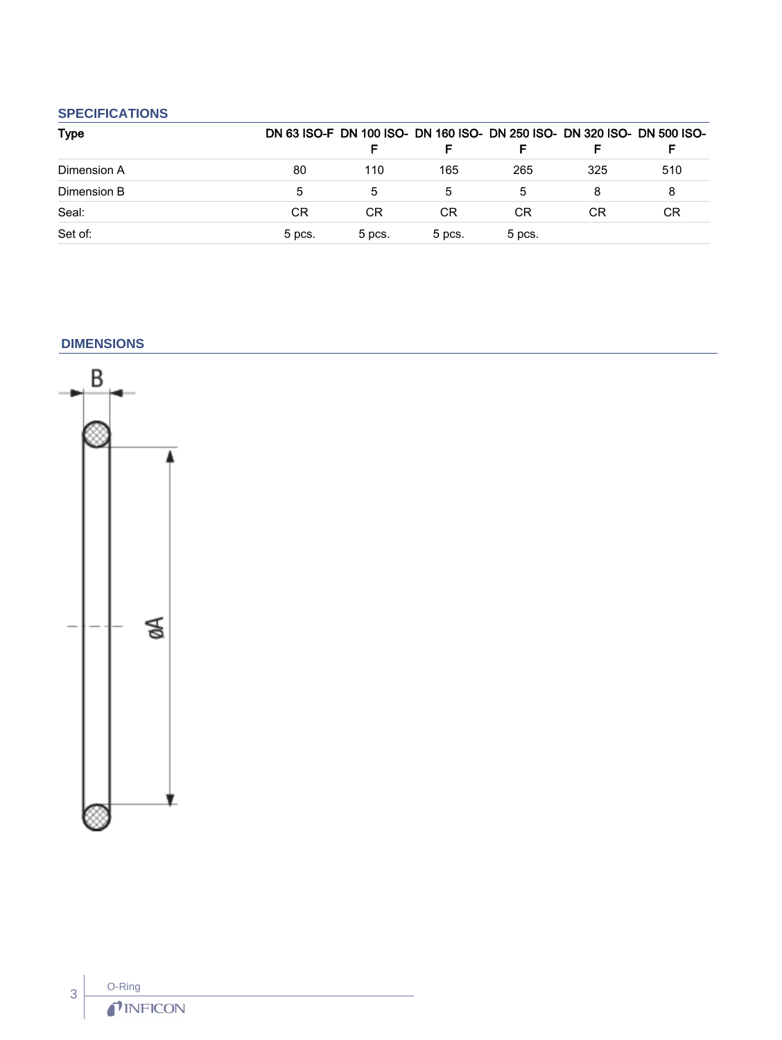## **SPECIFICATIONS**

| <b>Type</b> |        |           |        |        |           | DN 63 ISO-F DN 100 ISO- DN 160 ISO- DN 250 ISO- DN 320 ISO- DN 500 ISO- |
|-------------|--------|-----------|--------|--------|-----------|-------------------------------------------------------------------------|
|             |        |           |        |        |           |                                                                         |
| Dimension A | 80     | 110       | 165    | 265    | 325       | 510                                                                     |
| Dimension B | 5      |           | 5      |        |           | 8                                                                       |
| Seal:       | СR     | <b>CR</b> | СR     | CR.    | <b>CR</b> | CR                                                                      |
| Set of:     | 5 pcs. | 5 pcs.    | 5 pcs. | 5 pcs. |           |                                                                         |

#### **DIMENSIONS**